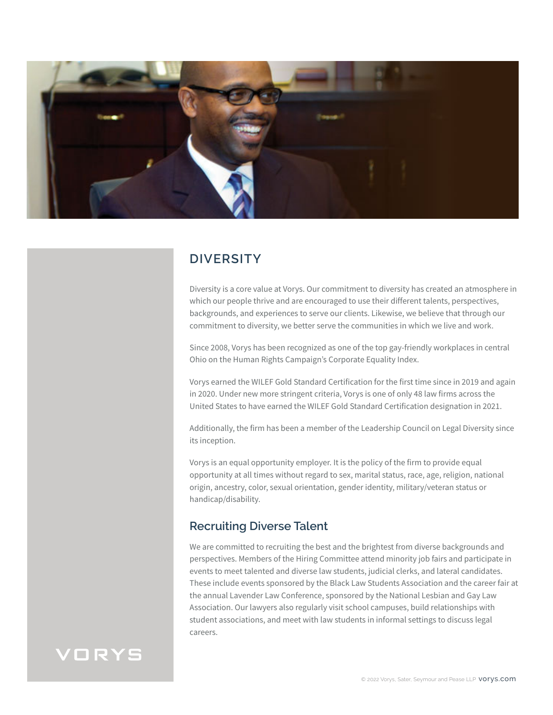

## **DIVERSITY**

Diversity is a core value at Vorys. Our commitment to diversity has created an atmosphere in which our people thrive and are encouraged to use their different talents, perspectives, backgrounds, and experiences to serve our clients. Likewise, we believe that through our commitment to diversity, we better serve the communities in which we live and work.

Since 2008, Vorys has been recognized as one of the top gay-friendly workplaces in central Ohio on the Human Rights Campaign's Corporate Equality Index.

Vorys earned the WILEF Gold Standard Certification for the first time since in 2019 and again in 2020. Under new more stringent criteria, Vorys is one of only 48 law firms across the United States to have earned the WILEF Gold Standard Certification designation in 2021.

Additionally, the firm has been a member of the Leadership Council on Legal Diversity since its inception.

Vorys is an equal opportunity employer. It is the policy of the firm to provide equal opportunity at all times without regard to sex, marital status, race, age, religion, national origin, ancestry, color, sexual orientation, gender identity, military/veteran status or handicap/disability.

#### **Recruiting Diverse Talent**

We are committed to recruiting the best and the brightest from diverse backgrounds and perspectives. Members of the Hiring Committee attend minority job fairs and participate in events to meet talented and diverse law students, judicial clerks, and lateral candidates. These include events sponsored by the Black Law Students Association and the career fair at the annual Lavender Law Conference, sponsored by the National Lesbian and Gay Law Association. Our lawyers also regularly visit school campuses, build relationships with student associations, and meet with law students in informal settings to discuss legal careers.

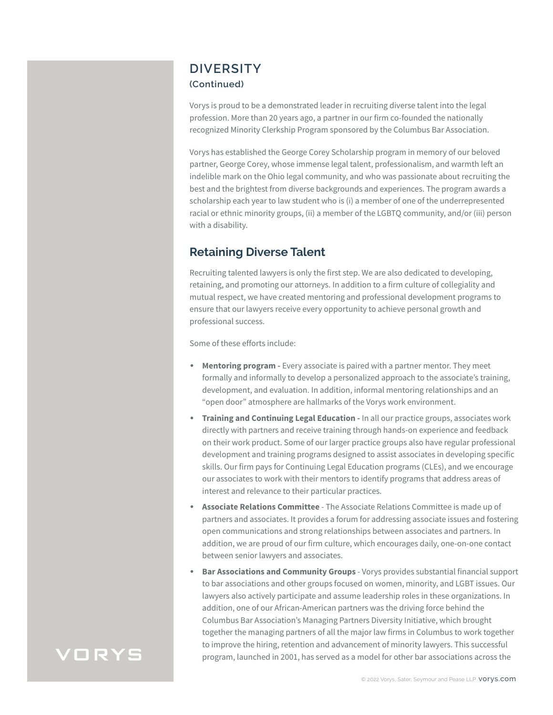#### **DIVERSITY (Continued)**

Vorys is proud to be a demonstrated leader in recruiting diverse talent into the legal profession. More than 20 years ago, a partner in our firm co-founded the nationally recognized Minority Clerkship Program sponsored by the Columbus Bar Association.

Vorys has established the George Corey Scholarship program in memory of our beloved partner, George Corey, whose immense legal talent, professionalism, and warmth left an indelible mark on the Ohio legal community, and who was passionate about recruiting the best and the brightest from diverse backgrounds and experiences. The program awards a scholarship each year to law student who is (i) a member of one of the underrepresented racial or ethnic minority groups, (ii) a member of the LGBTQ community, and/or (iii) person with a disability.

### **Retaining Diverse Talent**

Recruiting talented lawyers is only the first step. We are also dedicated to developing, retaining, and promoting our attorneys. In addition to a firm culture of collegiality and mutual respect, we have created mentoring and professional development programs to ensure that our lawyers receive every opportunity to achieve personal growth and professional success.

Some of these efforts include:

- **Mentoring program -** Every associate is paired with a partner mentor. They meet formally and informally to develop a personalized approach to the associate's training, development, and evaluation. In addition, informal mentoring relationships and an "open door" atmosphere are hallmarks of the Vorys work environment.
- **Training and Continuing Legal Education In all our practice groups, associates work** directly with partners and receive training through hands-on experience and feedback on their work product. Some of our larger practice groups also have regular professional development and training programs designed to assist associates in developing specific skills. Our firm pays for Continuing Legal Education programs (CLEs), and we encourage our associates to work with their mentors to identify programs that address areas of interest and relevance to their particular practices.
- **Associate Relations Committee** The Associate Relations Committee is made up of partners and associates. It provides a forum for addressing associate issues and fostering open communications and strong relationships between associates and partners. In addition, we are proud of our firm culture, which encourages daily, one-on-one contact between senior lawyers and associates.
- **Bar Associations and Community Groups** Vorys provides substantial financial support to bar associations and other groups focused on women, minority, and LGBT issues. Our lawyers also actively participate and assume leadership roles in these organizations. In addition, one of our African-American partners was the driving force behind the Columbus Bar Association's Managing Partners Diversity Initiative, which brought together the managing partners of all the major law firms in Columbus to work together to improve the hiring, retention and advancement of minority lawyers. This successful program, launched in 2001, has served as a model for other bar associations across the

# **VORYS**